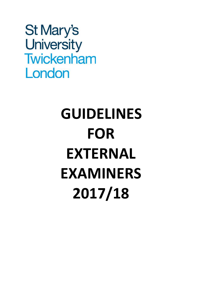St Mary's University Twickenham London

# **GUIDELINES FOR EXTERNAL EXAMINERS 2017/18**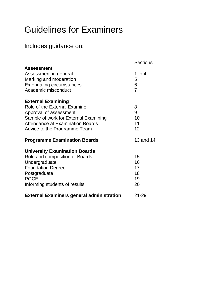## Guidelines for Examiners

### Includes guidance on:

|                                                  | <b>Sections</b> |
|--------------------------------------------------|-----------------|
| Assessment                                       |                 |
| Assessment in general                            | 1 to 4          |
| Marking and moderation                           | 5               |
| <b>Extenuating circumstances</b>                 | 6               |
| Academic misconduct                              | $\overline{7}$  |
| <b>External Examining</b>                        |                 |
| <b>Role of the External Examiner</b>             | 8               |
| Approval of assessment                           | 9               |
| Sample of work for External Examining            | 10              |
| <b>Attendance at Examination Boards</b>          | 11              |
| Advice to the Programme Team                     | 12              |
| <b>Programme Examination Boards</b>              | 13 and 14       |
| <b>University Examination Boards</b>             |                 |
| Role and composition of Boards                   | 15              |
| Undergraduate                                    | 16              |
| <b>Foundation Degree</b>                         | 17              |
| Postgraduate                                     | 18              |
| <b>PGCE</b>                                      | 19              |
| Informing students of results                    | 20              |
| <b>External Examiners general administration</b> | $21 - 29$       |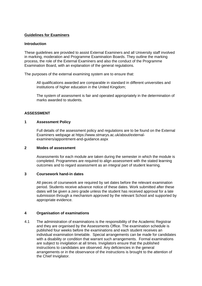#### **Guidelines for Examiners**

#### **Introduction**

These guidelines are provided to assist External Examiners and all University staff involved in marking, moderation and Programme Examination Boards. They outline the marking process, the role of the External Examiners and also the conduct of the Programme Examination Board, with an explanation of the general regulations.

The purposes of the external examining system are to ensure that:

All qualifications awarded are comparable in standard in different universities and institutions of higher education in the United Kingdom;

The system of assessment is fair and operated appropriately in the determination of marks awarded to students.

#### **ASSESSMENT**

#### **1 Assessment Policy**

Full details of the assessment policy and regulations are to be found on the External Examiners webpage at https://www.stmarys.ac.uk/about/externalexaminers/appointment-and-guidance.aspx

#### **2 Modes of assessment**

Assessments for each module are taken during the semester in which the module is completed. Programmes are required to align assessment with the stated learning outcomes and to regard assessment as an integral part of student learning.

#### **3 Coursework hand-in dates**

All pieces of coursework are required by set dates before the relevant examination period. Students receive advance notice of these dates. Work submitted after these dates will be given a zero grade unless the student has received approval for a late submission through a mechanism approved by the relevant School and supported by appropriate evidence.

#### **4 Organisation of examinations**

4.1 The administration of examinations is the responsibility of the Academic Registrar and they are organised by the Assessments Office. The examination schedule is published four weeks before the examinations and each student receives an individual examination timetable. Special arrangements can be made for candidates with a disability or condition that warrant such arrangements. Formal examinations are subject to invigilation at all times. Invigilators ensure that the published instructions to candidates are observed. Any deficiencies in the general arrangements or in the observance of the instructions is brought to the attention of the Chief Invigilator.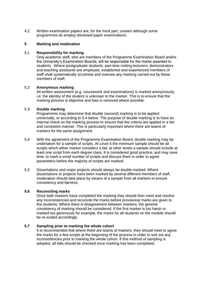4.2 Written examination papers are, for the most part, unseen although some programmes do employ disclosed paper examinations.

#### **5 Marking and moderation**

#### 5.1 **Responsibility for marking**

Only academic staff, who are members of the Programme Examination Board and/or the University's Examination Boards, will be responsible for the marks awarded to students. Where postgraduate students, part-time visiting lecturers, demonstrators and teaching assistants are employed, established and experienced members of staff shall systematically scrutinise and oversee any marking carried out by these members of staff.

#### 5.2 **Anonymous marking**

All written assessment (e.g. coursework and examinations) is marked anonymously, i.e. the identity of the student is unknown to the marker. This is to ensure that the marking process is objective and bias is removed where possible.

#### 5.3 **Double marking**

Programmes may determine that double (second) marking is to be applied universally, or according to 5.4 below. The purpose of double marking is to have an internal check on the marking process to ensure that the criteria are applied in a fair and consistent manner. This is particularly important where there are teams of markers for the same assignment.

- 5.4 With the agreement of the Programme Examination Board, double marking may be undertaken for a sample of scripts. At Level 4 the minimum sample should be all scripts which either marker considers a fail; at other levels a sample should include at least one script from each degree class. It is considered good practice, and may save time, to mark a small number of scripts and discuss them in order to agree parameters before the majority of scripts are marked.
- 5.5 Dissertations and major projects should always be double marked. Where dissertations or projects have been marked by several different members of staff, moderation should take place by means of a sample from all markers to ensure consistency and fairness.

#### **5.6 Reconciling marks**

Once both markers have completed the marking they should then meet and resolve any inconsistencies and reconcile the marks before provisional marks are given to the students. Where there is disagreement between markers, the general consistency of marking should be considered. If the first marker is too harsh or marked too generously for example, the marks for all students on the module should be re-scaled accordingly.

#### **5.7 Sampling prior to marking the whole cohort**

It is recommended that where there are teams of markers, they should meet to agree the marks for a few scripts at the beginning of the process in order to sort out any inconsistencies prior to marking the whole cohort. If this method of sampling is adopted, all fails should be checked once marking has been completed.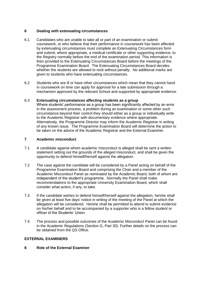#### **6 Dealing with extenuating circumstances**

- 6.1 Candidates who are unable to take all or part of an examination or submit coursework, or who believe that their performance in coursework has been affected by extenuating circumstances must complete an Extenuating Circumstances form and submit, where appropriate, a medical certificate or other supporting evidence, to the Registry normally before the end of the examination period. This information is then provided to the Extenuating Circumstances Board before the meetings of the Programme Examination Board. The Extenuating Circumstances Board decides whether the students are allowed to resit without penalty. No additional marks are given to students who have extenuating circumstances.
- 6.2 Students who are ill or have other circumstances which mean that they cannot hand in coursework on time can apply for approval for a late submission through a mechanism approved by the relevant School and supported by appropriate evidence.

#### 6.3 **Extenuating circumstances affecting students as a group**

Where students' performance as a group has been significantly affected by an error in the assessment process, a problem during an examination or some other such circumstance beyond their control they should either as a group or individually write to the Academic Registrar with documentary evidence where appropriate. Alternatively, the Programme Director may inform the Academic Registrar in writing of any known issue. The Programme Examination Board will determine the action to be taken on the advice of the Academic Registrar and the External Examiner.

#### **7 Academic misconduct**

- 7.1 A candidate against whom academic misconduct is alleged shall be sent a written statement setting out the grounds of the alleged misconduct, and shall be given the opportunity to defend himself/herself against the allegation.
- 7.2 The case against the candidate will be considered by a Panel acting on behalf of the Programme Examination Board and comprising the Chair and a member of the Academic Misconduct Panel as nominated by the Academic Board, both of whom are independent of the student's programme. Normally the Panel shall make recommendations to the appropriate University Examination Board, which shall consider what action, if any, to take.
- 7.3 If the candidate wishes to defend himself/herself against the allegation, he/she shall be given at least five days' notice in writing of the meeting of the Panel at which the allegation will be considered. He/she shall be permitted to attend to submit evidence on his/her behalf and to be accompanied by a supporter who is a fellow student or officer of the Students' Union.
- 7.4 The process and possible outcomes of the Academic Misconduct Panel can be found in the Academic Regulations (Section G, Part 30). Further details on the process can be obtained from the QS Office.

#### **EXTERNAL EXAMINERS**

#### **8 Role of the External Examiner**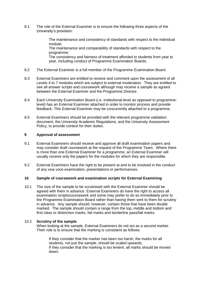8.1 The role of the External Examiner is to ensure the following three aspects of the University's provision:

> The maintenance and consistency of standards with respect to the individual module; The maintenance and comparability of standards with respect to the programme; The consistency and fairness of treatment afforded to students from year to year, including conduct of Programme Examination Boards.

- 8.2 The External Examiner is a full member of the Programme Examination Board.
- 8.3 External Examiners are entitled to receive and comment upon the assessment of all Levels 4 to 7 modules which are subject to external moderation. They are entitled to see all answer scripts and coursework although may receive a sample as agreed between the External Examiner and the Programme Director.
- 8.4 Each University Examination Board (i.e. institutional-level as opposed to programmelevel) has an External Examiner attached in order to monitor process and provide feedback. This External Examiner may be concurrently attached to a programme.
- 8.5 External Examiners should be provided with the relevant programme validation document, the University Academic Regulations, and the University Assessment Policy, to provide context for their duties.

#### **9 Approval of assessment**

- 9.1 External Examiners should receive and approve all draft examination papers and may consider draft coursework at the request of the Programme Team. Where there is more than one External Examiner for a programme, an External Examiner will usually receive only the papers for the modules for which they are responsible.
- 9.2 External Examiners have the right to be present at and to be involved in the conduct of any viva voce examination, presentations or performances.

#### **10 Sample of coursework and examination scripts for External Examining**

10.1 The size of the sample to be scrutinised with the External Examiner should be agreed with them in advance. External Examiners do have the right to access all examination scripts/coursework and some may prefer to do so immediately prior to the Programme Examination Board rather than having them sent to them for scrutiny in advance. Any sample should, however, contain those that have been double marked. The sample should contain a range from the top, middle and bottom and first class or distinction marks, fail marks and borderline pass/fail marks.

#### 10.2 **Scrutiny of the sample**

When looking at the sample, External Examiners do *not* act as a second marker. Their role is to ensure that the marking is consistent as follows:

If they consider that the marker has been too harsh, the marks for all students, not just the sample, should be scaled upwards; If they consider that the marking is too lenient, all marks should be moved down;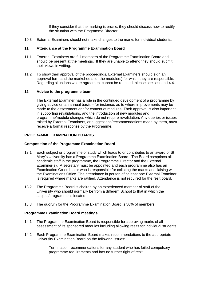If they consider that the marking is erratic, they should discuss how to rectify the situation with the Programme Director.

10.3 External Examiners should *not* make changes to the marks for individual students.

#### **11 Attendance at the Programme Examination Board**

- 11.1 External Examiners are full members of the Programme Examination Board and should be present at the meetings. If they are unable to attend they should submit their views in writing.
- 11.2 To show their approval of the proceedings, External Examiners should sign an approval form and the marksheets for the module(s) for which they are responsible. Regarding situations where agreement cannot be reached, please see section 14.4.

#### **12 Advice to the programme team**

The External Examiner has a role in the continued development of a programme by giving advice on an annual basis – for instance, as to where improvements may be made to the assessment and/or content of modules. Their approval is also important in supporting revalidations, and the introduction of new modules and programme/module changes which do not require revalidation. Any queries or issues raised by External Examiners, or suggestions/recommendations made by them, must receive a formal response by the Programme.

#### **PROGRAMME EXAMINATION BOARDS**

#### **Composition of the Programme Examination Board**

- 13.1 Each subject or programme of study which leads to or contributes to an award of St Mary's University has a Programme Examination Board. The Board comprises all academic staff in the programme, the Programme Director and the External Examiner(s). A secretary must be appointed and each programme also has an Examination Co-ordinator who is responsible for collating the marks and liaising with the Examinations Office. The attendance in person of at least one External Examiner is required where marks are ratified. Attendance is not required for the resit board.
- 13.2 The Programme Board is chaired by an experienced member of staff of the University who should normally be from a different School to that in which the subject/programme is located.
- 13.3 The quorum for the Programme Examination Board is 50% of members.

#### **Programme Examination Board meetings**

- 14.1 The Programme Examination Board is responsible for approving marks of all assessment of its sponsored modules including allowing resits for individual students.
- 14.2 Each Programme Examination Board makes recommendations to the appropriate University Examination Board on the following issues:

Termination recommendations for any student who has failed compulsory programme requirements and has no further right of resit;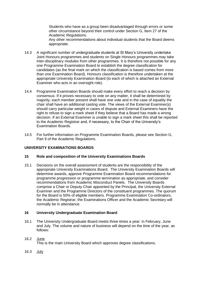Students who have as a group been disadvantaged through errors or some other circumstance beyond their control under Section G, Item 27 of the Academic Regulations. Any other recommendations about individual students that the Board deems appropriate.

- 14.3 A significant number of undergraduate students at St Mary's University undertake Joint Honours programmes and students on Single Honours programmes may take inter-disciplinary modules from other programmes. It is therefore not possible for any one Programme Examination Board to establish the degree classification for candidates (as the final mark on which the classification is based comes from more than one Examination Board). Honours classification is therefore undertaken at the appropriate University Examination Board (to each of which is attached an External Examiner who acts in an oversight role).
- 14.4 Programme Examination Boards should make every effort to reach a decision by consensus. If it proves necessary to vote on any matter, it shall be determined by majority; each member present shall have one vote and in the case of equality the chair shall have an additional casting vote. The views of the External Examiner(s) should carry particular weight in cases of dispute and External Examiners have the right to refuse to sign a mark sheet if they believe that a Board has made a wrong decision. If an External Examiner is unable to sign a mark sheet this shall be reported to the Academic Registrar and, if necessary, to the Chair of the University's Examination Boards.
- 14.5 For further information on Programme Examination Boards, please see Section G, Part 9 of the Academic Regulations.

#### **UNIVERSITY EXAMINATIONS BOARDS**

#### **15 Role and composition of the University Examinations Boards**

15.1 Decisions on the overall assessment of students are the responsibility of the appropriate University Examinations Board. The University Examination Boards will determine awards, approve Programme Examination Board recommendations for programme progression or programme termination as appropriate, and consider recommendations from Academic Misconduct Panels. The University Boards comprise a Chair or Deputy Chair appointed by the Principal, the University External Examiner and the Programme Directors of the constituent programmes. The quorum for the Board is 50% of eligible members. Programme Examination Co-ordinators, the Academic Registrar, the Examinations Officer and the Academic Secretary will normally be in attendance.

#### **16 University Undergraduate Examination Board**

16.1 The University Undergraduate Board meets three times a year: in February, June and July. The volume and nature of business will depend on the time of the year, as follows:

#### 16.2 June

This is the main University Board which approves degree classifications.

16.3 July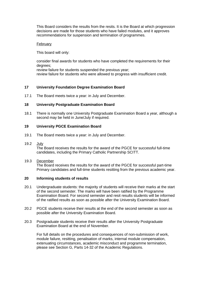This Board considers the results from the resits. It is the Board at which progression decisions are made for those students who have failed modules, and it approves recommendations for suspension and termination of programmes.

#### February

This board will only:

consider final awards for students who have completed the requirements for their degrees; review failure for students suspended the previous year; review failure for students who were allowed to progress with insufficient credit.

#### **17 University Foundation Degree Examination Board**

17.1 The Board meets twice a year: in July and December.

#### **18 University Postgraduate Examination Board**

18.1 There is normally one University Postgraduate Examination Board a year, although a second may be held in June/July if required.

#### **19 University PGCE Examination Board**

- 19.1 The Board meets twice a year: in July and December.
- 19.2 July

The Board receives the results for the award of the PGCE for successful full-time candidates, including the Primary Catholic Partnership SCITT.

#### 19.3 December

The Board receives the results for the award of the PGCE for successful part-time Primary candidates and full-time students resitting from the previous academic year.

#### **20 Informing students of results**

- 20.1 Undergraduate students: the majority of students will receive their marks at the start of the second semester. The marks will have been ratified by the Programme Examination Board. For second semester and resit results students will be informed of the ratified results as soon as possible after the University Examination Board.
- 20.2 PGCE students receive their results at the end of the second semester as soon as possible after the University Examination Board.
- 20.3 Postgraduate students receive their results after the University Postgraduate Examination Board at the end of November.

For full details on the procedures and consequences of non-submission of work, module failure, resitting, penalisation of marks, internal module compensation, extenuating circumstances, academic misconduct and programme termination, please see Section G, Parts 14-32 of the Academic Regulations.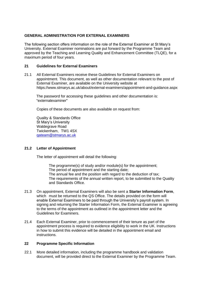#### **GENERAL ADMINISTRATION FOR EXTERNAL EXAMINERS**

The following section offers information on the role of the External Examiner at St Mary's University. External Examiner nominations are put forward by the Programme Team and approved by the Teaching and Learning Quality and Enhancement Committee (TLQE), for a maximum period of four years.

#### **21 Guidelines for External Examiners**

21.1 All External Examiners receive these *Guidelines for External Examiners* on appointment. This document, as well as other documentation relevant to the post of External Examiner, are available on the University website at https://www.stmarys.ac.uk/about/external-examiners/appointment-and-guidance.aspx

The password for accessing these guidelines and other documentation is: "externalexaminer"

Copies of these documents are also available on request from:

Quality & Standards Office St Mary's University Waldegrave Road Twickenham, TW1 4SX [qateam@stmarys.ac.uk](mailto:qateam@stmarys.ac.uk)

#### **21.2 Letter of Appointment**

The letter of appointment will detail the following:

The programme(s) of study and/or module(s) for the appointment; The period of appointment and the starting date; The annual fee and the position with regard to the deduction of tax; The requirements of the annual written report, to be submitted to the Quality and Standards Office.

- 21.3 On appointment, External Examiners will also be sent a **Starter Information Form**, which must be returned to the QS Office. The details provided on the form will enable External Examiners to be paid through the University's payroll system. In signing and returning the Starter Information Form, the External Examiner is agreeing to the terms of the appointment as outlined in the appointment letter and the *Guidelines for Examiners.*
- 21.4 Each External Examiner, prior to commencement of their tenure as part of the appointment process is required to evidence eligibility to work in the UK. Instructions in how to submit this evidence will be detailed in the appointment email and instructions.

#### **22 Programme Specific Information**

22.1 More detailed information, including the programme handbook and validation document, will be provided direct to the External Examiner by the Programme Team.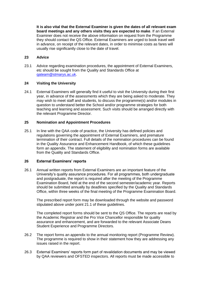**It is also vital that the External Examiner is given the dates of all relevant exam board meetings and any others visits they are expected to make**. If an External Examiner does not receive the above information on request from the Programme they should contact the QS Office. External Examiners are urged to book travel well in advance, on receipt of the relevant dates, in order to minimise costs as fares will usually rise significantly close to the date of travel.

#### **23 Advice**

23.1 Advice regarding examination procedures, the appointment of External Examiners, etc should be sought from the Quality and Standards Office at [qateam@stmarys.ac.uk.](mailto:qateam@stmarys.ac.uk)

#### **24 Visiting the University**

24.1 External Examiners will generally find it useful to visit the University during their first year, in advance of the assessments which they are being asked to moderate. They may wish to meet staff and students, to discuss the programme(s) and/or modules in question to understand better the School and/or programme strategies for both teaching and learning and assessment. Such visits should be arranged directly with the relevant Programme Director.

#### **25 Nomination and Appointment Procedures**

25.1 In line with the QAA code of practice, the University has defined policies and regulations governing the appointment of External Examiners, and premature termination of their contract. Full details of the nomination procedures can be found in the Quality Assurance and Enhancement Handbook, of which these guidelines form an appendix. The statement of eligibility and nomination forms are available from the Quality and Standards Office.

#### **26 External Examiners' reports**

26.1 Annual written reports from External Examiners are an important feature of the University's quality assurance procedures. For all programmes, both undergraduate and postgraduate, the report is required after the meeting of the Programme Examination Board, held at the end of the second semester/academic year. Reports should be submitted annually by deadlines specified by the Quality and Standards Office, within three weeks of the final meeting of the Programme Examination Board.

The prescribed report form may be downloaded through the website and password stipulated above under point 21.1 of these guidelines.

The completed report forms should be sent to the QS Office. The reports are read by the Academic Registrar and the Pro Vice Chancellor responsible for quality assurance and enhancement, and are forwarded to the relevant Associate Deans Student Experience and Programme Directors.

- 26.2 The report forms an appendix to the annual monitoring report (Programme Review). The programme is required to show in their statement how they are addressing any issues raised in the report.
- 26.3 External Examiners' reports form part of revalidation documents and may be viewed by QAA reviewers and OFSTED inspectors. All reports must be made accessible to